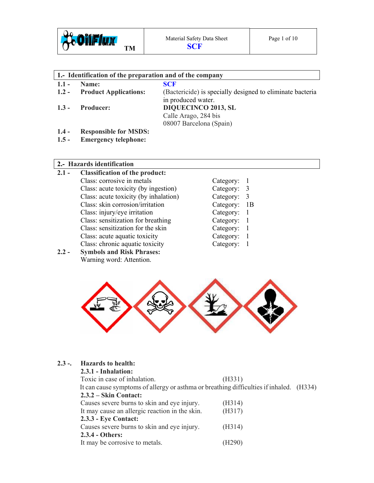

08007 Barcelona (Spain)

| 1. Identification of the preparation and of the company |                                                    |  |
|---------------------------------------------------------|----------------------------------------------------|--|
| $1.1 -$ Name:                                           | <b>SCF</b>                                         |  |
| 12 Droduct Annlications                                 | (Bactericida) is specially designed to eliminate b |  |

# **Product Applications:** (Bactericide) is specially designed to eliminate bacteria in produced water. **1.3 - Producer: DIQUECINCO 2013, SL** Calle Arago, 284 bis

**1.4 - Responsible for MSDS:** 

**1.5 - Emergency telephone:** 

# **2.- Hazards identification**

- **2.1 Classification of the product:**  Class: corrosive in metals Class: acute toxicity (by ingestion) Class: acute toxicity (by inhalation) Class: skin corrosion/irritation Class: injury/eye irritation Class: sensitization for breathing Class: sensitization for the skin Class: acute aquatic toxicity Class: chronic aquatic toxicity Category: 1
- **2.2 Symbols and Risk Phrases:**  Warning word: Attention.

| Category: | 1  |
|-----------|----|
| Category: | 3  |
| Category: | 3  |
| Category: | 1B |
| Category: | 1  |
| Category: | 1  |
| Category: | 1  |
| Category: | 1  |
|           |    |



# **2.3 -. Hazards to health:**

| 2.3.1 - Inhalation:                                                                     |        |  |
|-----------------------------------------------------------------------------------------|--------|--|
| Toxic in case of inhalation.                                                            | (H331) |  |
| It can cause symptoms of allergy or asthma or breathing difficulties if inhaled. (H334) |        |  |
| $2.3.2 - Skin Contact:$                                                                 |        |  |
| Causes severe burns to skin and eye injury.                                             | (H314) |  |
| It may cause an allergic reaction in the skin.                                          | (H317) |  |
| 2.3.3 - Eye Contact:                                                                    |        |  |
| Causes severe burns to skin and eye injury.                                             | (H314) |  |
| 2.3.4 - Others:                                                                         |        |  |
| It may be corrosive to metals.                                                          |        |  |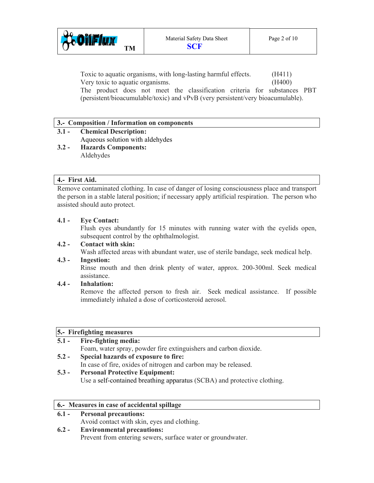

 Toxic to aquatic organisms, with long-lasting harmful effects. (H411) Very toxic to aquatic organisms. (H400) The product does not meet the classification criteria for substances PBT (persistent/bioacumulable/toxic) and vPvB (very persistent/very bioacumulable).

#### **3.- Composition / Information on components**

#### **3.1 - Chemical Description:**  Aqueous solution with aldehydes

**3.2 - Hazards Components:**  Aldehydes

#### **4.- First Aid.**

Remove contaminated clothing. In case of danger of losing consciousness place and transport the person in a stable lateral position; if necessary apply artificial respiration. The person who assisted should auto protect.

#### **4.1 - Eye Contact:**

Flush eyes abundantly for 15 minutes with running water with the eyelids open, subsequent control by the ophthalmologist.

## **4.2 - Contact with skin:**

Wash affected areas with abundant water, use of sterile bandage, seek medical help.

# **4.3 - Ingestion:**

Rinse mouth and then drink plenty of water, approx. 200-300ml. Seek medical assistance.

# **4.4 - Inhalation:**

Remove the affected person to fresh air. Seek medical assistance. If possible immediately inhaled a dose of corticosteroid aerosol.

# **5.- Firefighting measures**

| $5.1 -$      | <b>Fire-fighting media:</b>                                      |  |
|--------------|------------------------------------------------------------------|--|
|              | Foam, water spray, powder fire extinguishers and carbon dioxide. |  |
| $5.2 -$      | Special hazards of exposure to fire:                             |  |
|              | In case of fire, oxides of nitrogen and carbon may be released.  |  |
| $\epsilon$ ? | Demand Duchading Equinos and                                     |  |

#### **5.3 - Personal Protective Equipment:**  Use a self-contained breathing apparatus (SCBA) and protective clothing.

# **6.- Measures in case of accidental spillage**

# **6.1 - Personal precautions:**

Avoid contact with skin, eyes and clothing.

# **6.2 - Environmental precautions:**

Prevent from entering sewers, surface water or groundwater.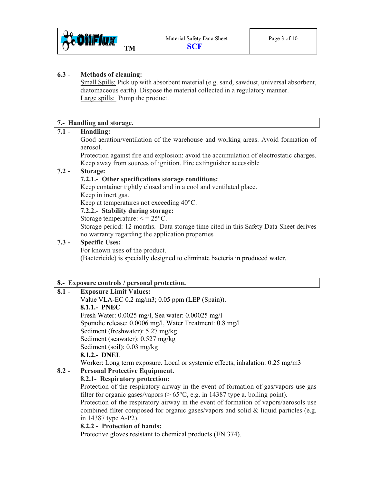

## **6.3 - Methods of cleaning:**

Small Spills: Pick up with absorbent material (e.g. sand, sawdust, universal absorbent, diatomaceous earth). Dispose the material collected in a regulatory manner. Large spills: Pump the product.

## **7.- Handling and storage.**

# **7.1 - Handling:**

Good aeration/ventilation of the warehouse and working areas. Avoid formation of aerosol.

 Protection against fire and explosion: avoid the accumulation of electrostatic charges. Keep away from sources of ignition. Fire extinguisher accessible

## **7.2 - Storage:**

## **7.2.1.- Other specifications storage conditions:**

 Keep container tightly closed and in a cool and ventilated place. Keep in inert gas.

Keep at temperatures not exceeding 40°C.

#### **7.2.2.- Stability during storage:**

Storage temperature:  $\leq$  = 25 $\degree$ C.

 Storage period: 12 months. Data storage time cited in this Safety Data Sheet derives no warranty regarding the application properties

## **7.3 - Specific Uses:**

For known uses of the product. (Bactericide) is specially designed to eliminate bacteria in produced water.

# **8.- Exposure controls / personal protection.**

# **8.1 - Exposure Limit Values:**

Value VLA-EC 0.2 mg/m3; 0.05 ppm (LEP (Spain)). **8.1.1.- PNEC**  Fresh Water: 0.0025 mg/l, Sea water: 0.00025 mg/l Sporadic release: 0.0006 mg/l, Water Treatment: 0.8 mg/l Sediment (freshwater): 5.27 mg/kg Sediment (seawater): 0.527 mg/kg Sediment (soil): 0.03 mg/kg **8.1.2.- DNEL** 

Worker: Long term exposure. Local or systemic effects, inhalation: 0.25 mg/m3

# **8.2 - Personal Protective Equipment.**

 **8.2.1- Respiratory protection:** 

Protection of the respiratory airway in the event of formation of gas/vapors use gas filter for organic gases/vapors ( $> 65^{\circ}$ C, e.g. in 14387 type a. boiling point).

 Protection of the respiratory airway in the event of formation of vapors/aerosols use combined filter composed for organic gases/vapors and solid & liquid particles (e.g. in 14387 type A-P2).

## **8.2.2 - Protection of hands:**

Protective gloves resistant to chemical products (EN 374).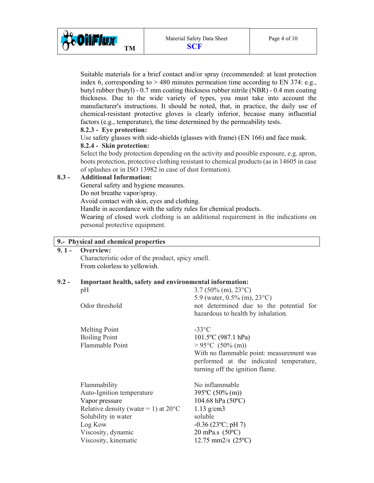

 Suitable materials for a brief contact and/or spray (recommended: at least protection index 6, corresponding to  $> 480$  minutes permeation time according to EN 374: e.g., butyl rubber (butyl) - 0.7 mm coating thickness rubber nitrile (NBR) - 0.4 mm coating thickness. Due to the wide variety of types, you must take into account the manufacturer's instructions. It should be noted, that, in practice, the daily use of chemical-resistant protective gloves is clearly inferior, because many influential factors (e.g., temperature), the time determined by the permeability tests.

#### **8.2.3 - Eye protection:**

Use safety glasses with side-shields (glasses with frame) (EN 166) and face mask.

#### **8.2.4 - Skin protection:**

Select the body protection depending on the activity and possible exposure, e.g. apron, boots protection, protective clothing resistant to chemical products (as in 14605 in case of splashes or in ISO 13982 in case of dust formation).

#### **8.3 - Additional Information:**

General safety and hygiene measures.

Do not breathe vapor/spray.

Avoid contact with skin, eyes and clothing.

Handle in accordance with the safety rules for chemical products.

 Wearing of closed work clothing is an additional requirement in the indications on personal protective equipment.

# **9.- Physical and chemical properties**

**9. 1 - Overview:** 

Characteristic odor of the product, spicy smell. From colorless to yellowish.

## **9.2 - Important health, safety and environmental information:**

| pH                                                                                                                                                                                            | $3.7(50\%$ (m), $23^{\circ}$ C)                                                                                                                                                                                       |
|-----------------------------------------------------------------------------------------------------------------------------------------------------------------------------------------------|-----------------------------------------------------------------------------------------------------------------------------------------------------------------------------------------------------------------------|
| Odor threshold                                                                                                                                                                                | 5.9 (water, $0.5\%$ (m), $23^{\circ}$ C)<br>not determined due to the potential for<br>hazardous to health by inhalation.                                                                                             |
| <b>Melting Point</b><br><b>Boiling Point</b><br>Flammable Point                                                                                                                               | $-33^{\circ}$ C<br>$101.5$ °C (987.1 hPa)<br>$> 95^{\circ}$ C (50% (m))<br>With no flammable point: measurement was<br>performed at the indicated temperature,<br>turning off the ignition flame.                     |
| Flammability<br>Auto-Ignition temperature<br>Vapor pressure<br>Relative density (water = 1) at $20^{\circ}$ C<br>Solubility in water<br>Log Kow<br>Viscosity, dynamic<br>Viscosity, kinematic | No inflammable<br>$395^{\circ}$ C (50% (m))<br>$104.68$ hPa $(50^{\circ}C)$<br>$1.13$ g/cm3<br>soluble<br>$-0.36$ (23 $^{\circ}$ C; pH 7)<br>$20 \text{ mPa.s } (50^{\circ} \text{C})$<br>12.75 mm2/s $(25^{\circ}C)$ |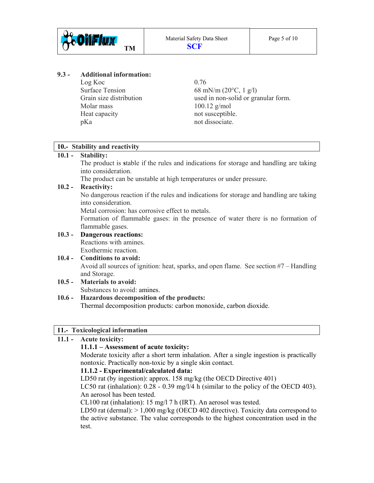

#### **9.3 - Additional information:**

 $Log Koc$  0.76 Molar mass 100.12 g/mol Heat capacity not susceptible. pKa not dissociate.

Surface Tension 68 mN/m  $(20^{\circ}C, 1 \text{ g/l})$ Grain size distribution used in non-solid or granular form.

#### **10.- Stability and reactivity**

#### **10.1 - Stability:**

The product is **s**table if the rules and indications for storage and handling are taking into consideration.

The product can be unstable at high temperatures or under pressure.

#### **10.2 - Reactivity:**

No dangerous reaction if the rules and indications for storage and handling are taking into consideration.

Metal corrosion: has corrosive effect to metals.

 Formation of flammable gases: in the presence of water there is no formation of flammable gases.

#### **10.3 - Dangerous reactions:**

Reactions with amines. Exothermic reaction.

#### **10.4 - Conditions to avoid:**  Avoid all sources of ignition: heat, sparks, and open flame.See section #7 – Handling and Storage.

**10.5 - Materials to avoid:**  Substances to avoid: amines.

#### **10.6 - Hazardous decomposition of the products:**

Thermal decomposition products: carbon monoxide, carbon dioxide.

#### **11.- Toxicological information**

# **11.1 - Acute toxicity:**

## **11.1.1 – Assessment of acute toxicity:**

 Moderate toxicity after a short term inhalation. After a single ingestion is practically nontoxic. Practically non-toxic by a single skin contact.

#### **11.1.2 - Experimental/calculated data:**

LD50 rat (by ingestion): approx. 158 mg/kg (the OECD Directive 401)

 LC50 rat (inhalation): 0.28 - 0.39 mg/l/4 h (similar to the policy of the OECD 403). An aerosol has been tested.

CL100 rat (inhalation): 15 mg/l 7 h (IRT). An aerosol was tested.

LD50 rat (dermal):  $> 1,000$  mg/kg (OECD 402 directive). Toxicity data correspond to the active substance. The value corresponds to the highest concentration used in the test.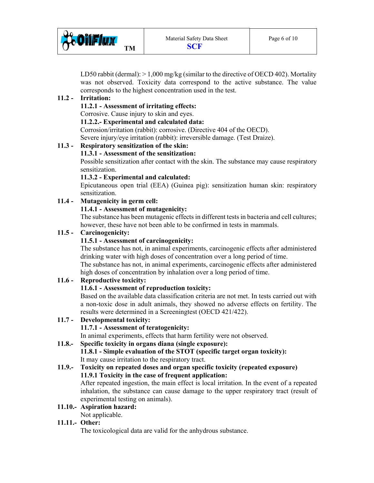

LD50 rabbit (dermal):  $> 1,000$  mg/kg (similar to the directive of OECD 402). Mortality was not observed. Toxicity data correspond to the active substance. The value corresponds to the highest concentration used in the test.

## **11.2 - Irritation:**

#### **11.2.1 - Assessment of irritating effects:**

Corrosive. Cause injury to skin and eyes.

#### **11.2.2.- Experimental and calculated data:**

Corrosion/irritation (rabbit): corrosive. (Directive 404 of the OECD). Severe injury/eye irritation (rabbit): irreversible damage. (Test Draize).

#### **11.3 - Respiratory sensitization of the skin:**

#### **11.3.1 - Assessment of the sensitization:**

Possible sensitization after contact with the skin. The substance may cause respiratory sensitization.

#### **11.3.2 - Experimental and calculated:**

Epicutaneous open trial (EEA) (Guinea pig): sensitization human skin: respiratory sensitization.

## **11.4 - Mutagenicity in germ cell:**

#### **11.4.1 - Assessment of mutagenicity:**

 The substance has been mutagenic effects in different tests in bacteria and cell cultures; however, these have not been able to be confirmed in tests in mammals.

#### **11.5 - Carcinogenicity:**

#### **11.5.1 - Assessment of carcinogenicity:**

 The substance has not, in animal experiments, carcinogenic effects after administered drinking water with high doses of concentration over a long period of time. The substance has not, in animal experiments, carcinogenic effects after administered

# high doses of concentration by inhalation over a long period of time.

## **11.6 - Reproductive toxicity:**

## **11.6.1 - Assessment of reproduction toxicity:**

 Based on the available data classification criteria are not met. In tests carried out with a non-toxic dose in adult animals, they showed no adverse effects on fertility. The results were determined in a Screeningtest (OECD 421/422).

**11.7 - Developmental toxicity: 11.7.1 - Assessment of teratogenicity:**  In animal experiments, effects that harm fertility were not observed.

# **11.8.- Specific toxicity in organs diana (single exposure):**

 **11.8.1 - Simple evaluation of the STOT (specific target organ toxicity):**  It may cause irritation to the respiratory tract.

# **11.9.- Toxicity on repeated doses and organ specific toxicity (repeated exposure) 11.9.1 Toxicity in the case of frequent application:**

 After repeated ingestion, the main effect is local irritation. In the event of a repeated inhalation, the substance can cause damage to the upper respiratory tract (result of experimental testing on animals).

#### **11.10.- Aspiration hazard:**

Not applicable.

#### **11.11.- Other:**

The toxicological data are valid for the anhydrous substance.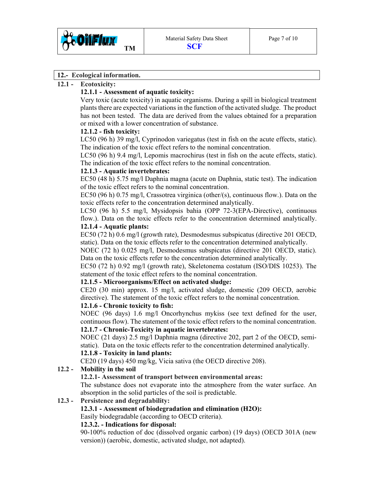

#### **12.- Ecological information.**

#### **12.1 - Ecotoxicity:**

#### **12.1.1 - Assessment of aquatic toxicity:**

 Very toxic (acute toxicity) in aquatic organisms. During a spill in biological treatment plants there are expected variations in the function of the activated sludge. The product has not been tested. The data are derived from the values obtained for a preparation or mixed with a lower concentration of substance.

#### **12.1.2 - fish toxicity:**

LC50 (96 h) 39 mg/l, Cyprinodon variegatus (test in fish on the acute effects, static). The indication of the toxic effect refers to the nominal concentration.

 LC50 (96 h) 9.4 mg/l, Lepomis macrochirus (test in fish on the acute effects, static). The indication of the toxic effect refers to the nominal concentration.

#### **12.1.3 - Aquatic invertebrates:**

 EC50 (48 h) 5.75 mg/l Daphnia magna (acute on Daphnia, static test). The indication of the toxic effect refers to the nominal concentration.

 EC50 (96 h) 0.75 mg/l, Crassotrea virginica (other/(s), continuous flow.). Data on the toxic effects refer to the concentration determined analytically.

 LC50 (96 h) 5.5 mg/l, Mysidopsis bahia (OPP 72-3(EPA-Directive), continuous flow.). Data on the toxic effects refer to the concentration determined analytically. **12.1.4 - Aquatic plants:** 

 EC50 (72 h) 0.6 mg/l (growth rate), Desmodesmus subspicatus (directive 201 OECD, static). Data on the toxic effects refer to the concentration determined analytically.

 NOEC (72 h) 0.025 mg/l, Desmodesmus subspicatus (directive 201 OECD, static). Data on the toxic effects refer to the concentration determined analytically.

 EC50 (72 h) 0.92 mg/l (growth rate), Skeletonema costatum (ISO/DIS 10253). The statement of the toxic effect refers to the nominal concentration.

#### **12.1.5 - Microorganisms/Effect on activated sludge:**

 CE20 (30 min) approx. 15 mg/l, activated sludge, domestic (209 OECD, aerobic directive). The statement of the toxic effect refers to the nominal concentration.

#### **12.1.6 - Chronic toxicity to fish:**

 NOEC (96 days) 1.6 mg/l Oncorhynchus mykiss (see text defined for the user, continuous flow). The statement of the toxic effect refers to the nominal concentration. **12.1.7 - Chronic-Toxicity in aquatic invertebrates:** 

 NOEC (21 days) 2.5 mg/l Daphnia magna (directive 202, part 2 of the OECD, semistatic). Data on the toxic effects refer to the concentration determined analytically.

# **12.1.8 - Toxicity in land plants:**

CE20 (19 days) 450 mg/kg, Vicia sativa (the OECD directive 208).

# **12.2 - Mobility in the soil**

#### **12.2.1- Assessment of transport between environmental areas:**

 The substance does not evaporate into the atmosphere from the water surface. An absorption in the solid particles of the soil is predictable.

#### **12.3 - Persistence and degradability:**

#### **12.3.1 - Assessment of biodegradation and elimination (H2O):**

Easily biodegradable (according to OECD criteria).

#### **12.3.2. - Indications for disposal:**

 90-100% reduction of doc (dissolved organic carbon) (19 days) (OECD 301A (new version)) (aerobic, domestic, activated sludge, not adapted).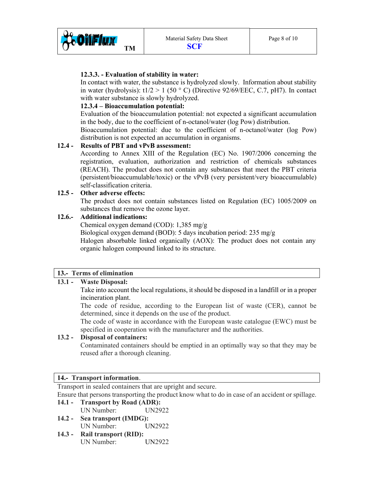

#### **12.3.3. - Evaluation of stability in water:**

 In contact with water, the substance is hydrolyzed slowly. Information about stability in water (hydrolysis):  $t1/2 > 1$  (50 °C) (Directive 92/69/EEC, C.7, pH7). In contact with water substance is slowly hydrolyzed.

## **12.3.4 – Bioaccumulation potential:**

 Evaluation of the bioaccumulation potential: not expected a significant accumulation in the body, due to the coefficient of n-octanol/water (log Pow) distribution.

 Bioaccumulation potential: due to the coefficient of n-octanol/water (log Pow) distribution is not expected an accumulation in organisms.

## **12.4 - Results of PBT and vPvB assessment:**

 According to Annex XIII of the Regulation (EC) No. 1907/2006 concerning the registration, evaluation, authorization and restriction of chemicals substances (REACH). The product does not contain any substances that meet the PBT criteria (persistent/bioaccumulable/toxic) or the vPvB (very persistent/very bioaccumulable) self-classification criteria.

## **12.5 - Other adverse effects:**

 The product does not contain substances listed on Regulation (EC) 1005/2009 on substances that remove the ozone layer.

## **12.6.- Additional indications:**

Chemical oxygen demand (COD): 1,385 mg/g Biological oxygen demand (BOD): 5 days incubation period: 235 mg/g Halogen absorbable linked organically (AOX): The product does not contain any organic halogen compound linked to its structure.

# **13.- Terms of elimination**

# **13.1 - Waste Disposal:**

Take into account the local regulations, it should be disposed in a landfill or in a proper incineration plant.

The code of residue, according to the European list of waste (CER), cannot be determined, since it depends on the use of the product.

 The code of waste in accordance with the European waste catalogue (EWC) must be specified in cooperation with the manufacturer and the authorities.

## **13.2 - Disposal of containers:**

Contaminated containers should be emptied in an optimally way so that they may be reused after a thorough cleaning.

## **14.- Transport information**.

Transport in sealed containers that are upright and secure.

Ensure that persons transporting the product know what to do in case of an accident or spillage.

- **14.1 Transport by Road (ADR):**  UN Number: UN2922
- **14.2 Sea transport (IMDG):**  UN Number: UN2922
- **14.3 Rail transport (RID):** UN Number: UN2922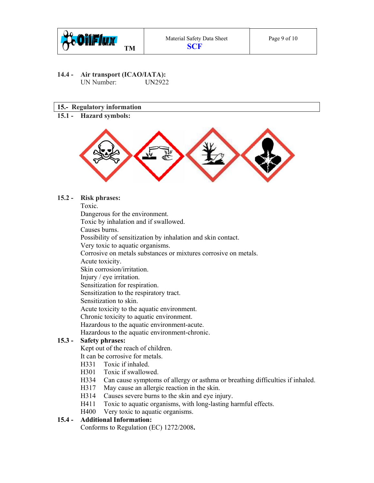

**14.4 - Air transport (ICAO/IATA):**  UN Number: UN2922

#### **15.- Regulatory information**

**15.1 - Hazard symbols:** 



**15.2 - Risk phrases:** 

Toxic.

Dangerous for the environment.

Toxic by inhalation and if swallowed.

Causes burns.

Possibility of sensitization by inhalation and skin contact.

Very toxic to aquatic organisms.

Corrosive on metals substances or mixtures corrosive on metals.

Acute toxicity.

Skin corrosion/irritation.

Injury / eye irritation.

Sensitization for respiration.

Sensitization to the respiratory tract.

Sensitization to skin.

Acute toxicity to the aquatic environment.

Chronic toxicity to aquatic environment.

Hazardous to the aquatic environment-acute.

Hazardous to the aquatic environment-chronic.

#### **15.3 - Safety phrases:**

Kept out of the reach of children.

It can be corrosive for metals.

- H331 Toxic if inhaled.
- H301 Toxic if swallowed.
- H334 Can cause symptoms of allergy or asthma or breathing difficulties if inhaled.
- H317 May cause an allergic reaction in the skin.
- H314 Causes severe burns to the skin and eye injury.
- H411 Toxic to aquatic organisms, with long-lasting harmful effects.
- H400 Very toxic to aquatic organisms.

## **15.4 - Additional Information:**

Conforms to Regulation (EC) 1272/2008**.**